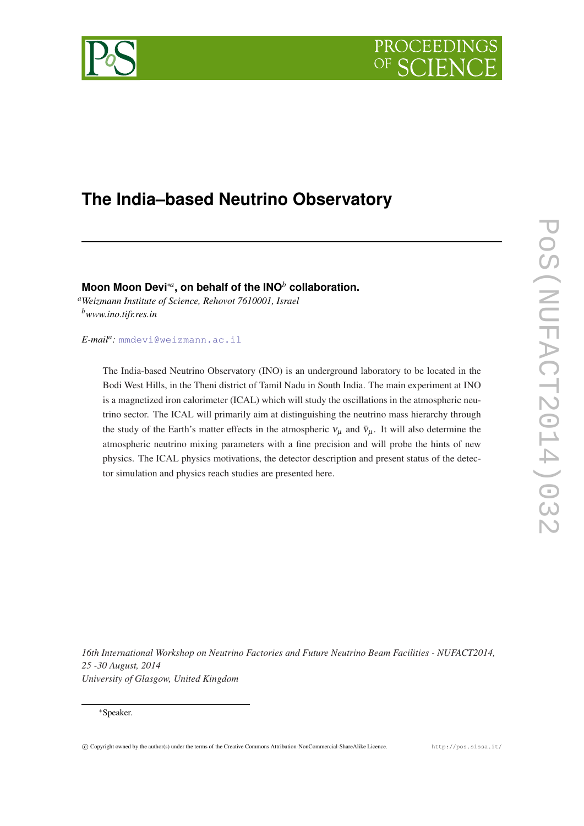# PROCEEDIN



## **The India–based Neutrino Observatory**

**Moon Moon Devi**∗*<sup>a</sup>* **, on behalf of the INO***<sup>b</sup>* **collaboration.**

*<sup>a</sup>Weizmann Institute of Science, Rehovot 7610001, Israel <sup>b</sup>www.ino.tifr.res.in*

*E-mail<sup>a</sup> :* [mmdevi@weizmann.ac.il](mailto:mmdevi@weizmann.ac.il)

The India-based Neutrino Observatory (INO) is an underground laboratory to be located in the Bodi West Hills, in the Theni district of Tamil Nadu in South India. The main experiment at INO is a magnetized iron calorimeter (ICAL) which will study the oscillations in the atmospheric neutrino sector. The ICAL will primarily aim at distinguishing the neutrino mass hierarchy through the study of the Earth's matter effects in the atmospheric  $v_{\mu}$  and  $\bar{v}_{\mu}$ . It will also determine the atmospheric neutrino mixing parameters with a fine precision and will probe the hints of new physics. The ICAL physics motivations, the detector description and present status of the detector simulation and physics reach studies are presented here.

*16th International Workshop on Neutrino Factories and Future Neutrino Beam Facilities - NUFACT2014, 25 -30 August, 2014 University of Glasgow, United Kingdom*

#### <sup>∗</sup>Speaker.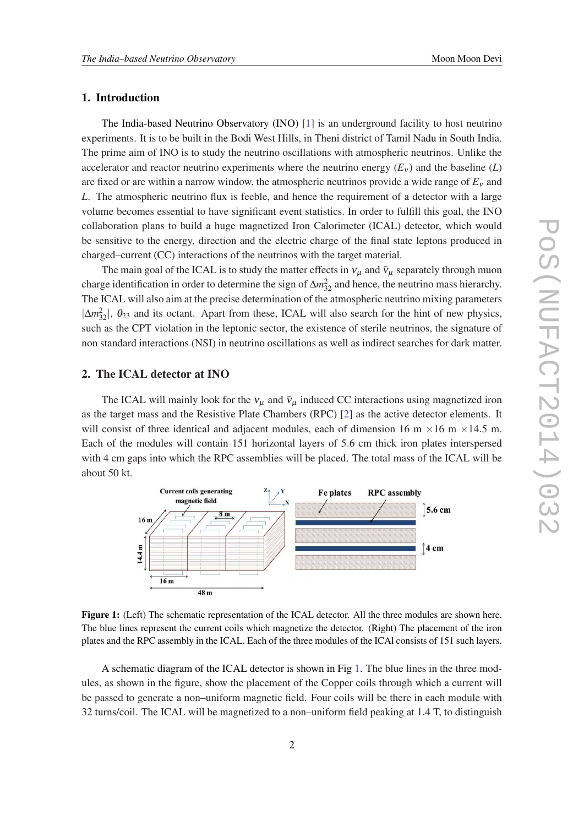#### 1. Introduction

The India-based Neutrino Observatory (INO) [[1](#page-7-0)] is an underground facility to host neutrino experiments. It is to be built in the Bodi West Hills, in Theni district of Tamil Nadu in South India. The prime aim of INO is to study the neutrino oscillations with atmospheric neutrinos. Unlike the accelerator and reactor neutrino experiments where the neutrino energy  $(E<sub>v</sub>)$  and the baseline (*L*) are fixed or are within a narrow window, the atmospheric neutrinos provide a wide range of  $E_v$  and *L*. The atmospheric neutrino flux is feeble, and hence the requirement of a detector with a large volume becomes essential to have significant event statistics. In order to fulfill this goal, the INO collaboration plans to build a huge magnetized Iron Calorimeter (ICAL) detector, which would be sensitive to the energy, direction and the electric charge of the final state leptons produced in charged–current (CC) interactions of the neutrinos with the target material.

The main goal of the ICAL is to study the matter effects in  $v_{\mu}$  and  $\bar{v}_{\mu}$  separately through muon charge identification in order to determine the sign of  $\Delta m_{32}^2$  and hence, the neutrino mass hierarchy. The ICAL will also aim at the precise determination of the atmospheric neutrino mixing parameters  $|\Delta m_{32}^2|$ ,  $\theta_{23}$  and its octant. Apart from these, ICAL will also search for the hint of new physics, such as the CPT violation in the leptonic sector, the existence of sterile neutrinos, the signature of non standard interactions (NSI) in neutrino oscillations as well as indirect searches for dark matter.

#### 2. The ICAL detector at INO

The ICAL will mainly look for the  $v_\mu$  and  $\bar{v}_\mu$  induced CC interactions using magnetized iron as the target mass and the Resistive Plate Chambers (RPC) [[2](#page-7-0)] as the active detector elements. It will consist of three identical and adjacent modules, each of dimension 16 m  $\times$ 16 m  $\times$ 14.5 m. Each of the modules will contain 151 horizontal layers of 5.6 cm thick iron plates interspersed with 4 cm gaps into which the RPC assemblies will be placed. The total mass of the ICAL will be about 50 kt.



Figure 1: (Left) The schematic representation of the ICAL detector. All the three modules are shown here. The blue lines represent the current coils which magnetize the detector. (Right) The placement of the iron plates and the RPC assembly in the ICAL. Each of the three modules of the ICAl consists of 151 such layers.

A schematic diagram of the ICAL detector is shown in Fig 1. The blue lines in the three modules, as shown in the figure, show the placement of the Copper coils through which a current will be passed to generate a non–uniform magnetic field. Four coils will be there in each module with 32 turns/coil. The ICAL will be magnetized to a non–uniform field peaking at 1.4 T, to distinguish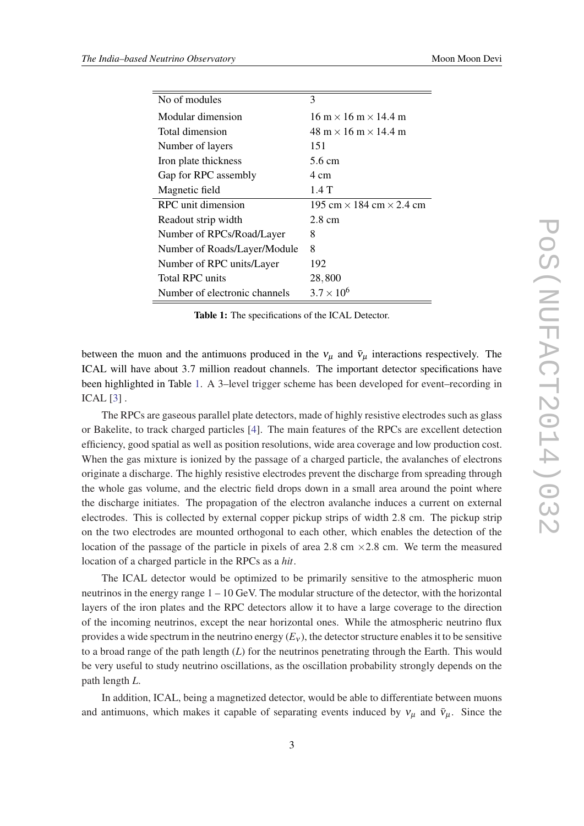| No of modules                 | 3                                                        |
|-------------------------------|----------------------------------------------------------|
| Modular dimension             | $16 \text{ m} \times 16 \text{ m} \times 14.4 \text{ m}$ |
| Total dimension               | $48 \text{ m} \times 16 \text{ m} \times 14.4 \text{ m}$ |
| Number of layers              | 151                                                      |
| Iron plate thickness          | 5.6 cm                                                   |
| Gap for RPC assembly          | 4 cm                                                     |
| Magnetic field                | 1.4T                                                     |
| RPC unit dimension            | 195 cm $\times$ 184 cm $\times$ 2.4 cm                   |
| Readout strip width           | $2.8 \text{ cm}$                                         |
| Number of RPCs/Road/Layer     | 8                                                        |
| Number of Roads/Layer/Module  | 8                                                        |
| Number of RPC units/Layer     | 192                                                      |
| <b>Total RPC</b> units        | 28,800                                                   |
| Number of electronic channels | $3.7 \times 10^{6}$                                      |

Table 1: The specifications of the ICAL Detector.

between the muon and the antimuons produced in the  $v_{\mu}$  and  $\bar{v}_{\mu}$  interactions respectively. The ICAL will have about 3.7 million readout channels. The important detector specifications have been highlighted in Table 1. A 3–level trigger scheme has been developed for event–recording in ICAL [\[3\]](#page-7-0) .

The RPCs are gaseous parallel plate detectors, made of highly resistive electrodes such as glass or Bakelite, to track charged particles [\[4\]](#page-7-0). The main features of the RPCs are excellent detection efficiency, good spatial as well as position resolutions, wide area coverage and low production cost. When the gas mixture is ionized by the passage of a charged particle, the avalanches of electrons originate a discharge. The highly resistive electrodes prevent the discharge from spreading through the whole gas volume, and the electric field drops down in a small area around the point where the discharge initiates. The propagation of the electron avalanche induces a current on external electrodes. This is collected by external copper pickup strips of width 2.8 cm. The pickup strip on the two electrodes are mounted orthogonal to each other, which enables the detection of the location of the passage of the particle in pixels of area 2.8 cm  $\times$  2.8 cm. We term the measured location of a charged particle in the RPCs as a *hit*.

The ICAL detector would be optimized to be primarily sensitive to the atmospheric muon neutrinos in the energy range 1 – 10 GeV. The modular structure of the detector, with the horizontal layers of the iron plates and the RPC detectors allow it to have a large coverage to the direction of the incoming neutrinos, except the near horizontal ones. While the atmospheric neutrino flux provides a wide spectrum in the neutrino energy  $(E_v)$ , the detector structure enables it to be sensitive to a broad range of the path length (*L*) for the neutrinos penetrating through the Earth. This would be very useful to study neutrino oscillations, as the oscillation probability strongly depends on the path length *L*.

In addition, ICAL, being a magnetized detector, would be able to differentiate between muons and antimuons, which makes it capable of separating events induced by  $v_{\mu}$  and  $\bar{v}_{\mu}$ . Since the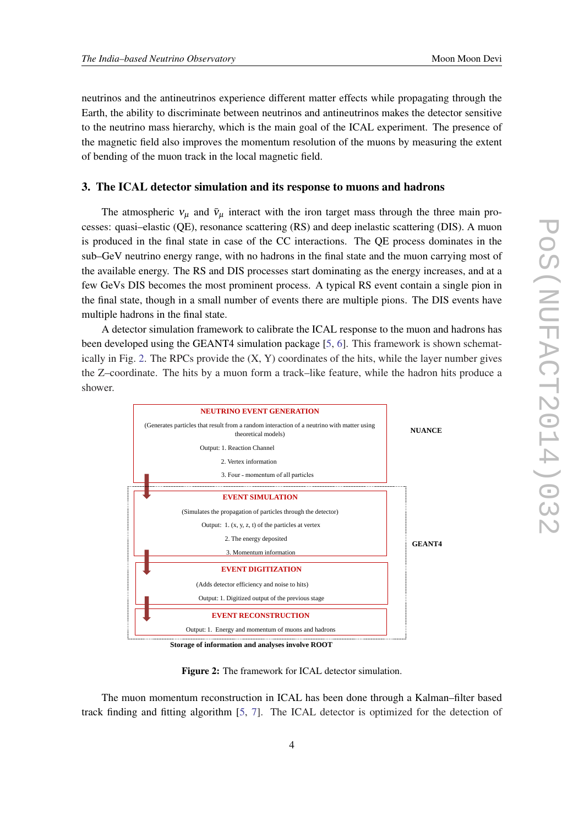neutrinos and the antineutrinos experience different matter effects while propagating through the Earth, the ability to discriminate between neutrinos and antineutrinos makes the detector sensitive to the neutrino mass hierarchy, which is the main goal of the ICAL experiment. The presence of the magnetic field also improves the momentum resolution of the muons by measuring the extent of bending of the muon track in the local magnetic field.

#### 3. The ICAL detector simulation and its response to muons and hadrons

The atmospheric  $v_{\mu}$  and  $\bar{v}_{\mu}$  interact with the iron target mass through the three main processes: quasi–elastic (QE), resonance scattering (RS) and deep inelastic scattering (DIS). A muon is produced in the final state in case of the CC interactions. The QE process dominates in the sub–GeV neutrino energy range, with no hadrons in the final state and the muon carrying most of the available energy. The RS and DIS processes start dominating as the energy increases, and at a few GeVs DIS becomes the most prominent process. A typical RS event contain a single pion in the final state, though in a small number of events there are multiple pions. The DIS events have multiple hadrons in the final state.

A detector simulation framework to calibrate the ICAL response to the muon and hadrons has been developed using the GEANT4 simulation package [[5](#page-7-0), [6](#page-7-0)]. This framework is shown schematically in Fig. 2. The RPCs provide the  $(X, Y)$  coordinates of the hits, while the layer number gives the Z–coordinate. The hits by a muon form a track–like feature, while the hadron hits produce a shower.



Figure 2: The framework for ICAL detector simulation.

The muon momentum reconstruction in ICAL has been done through a Kalman–filter based track finding and fitting algorithm [\[5,](#page-7-0) [7](#page-7-0)]. The ICAL detector is optimized for the detection of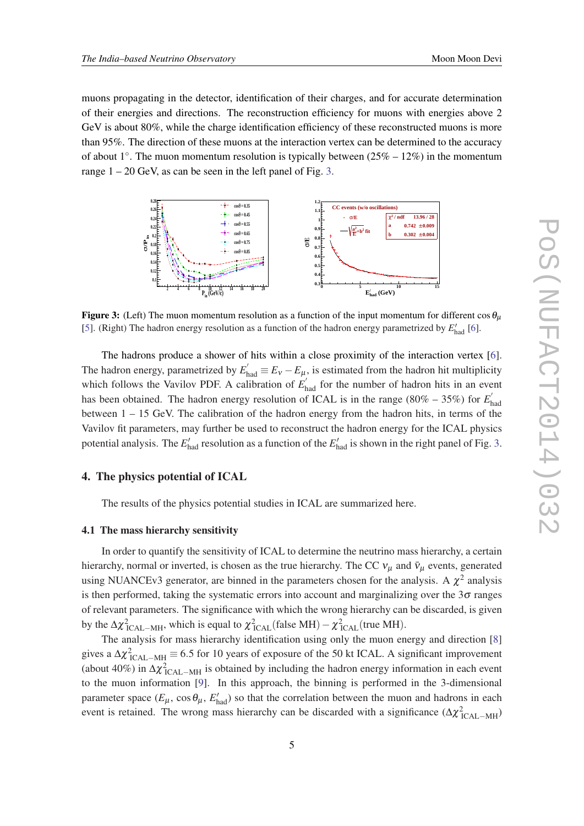muons propagating in the detector, identification of their charges, and for accurate determination of their energies and directions. The reconstruction efficiency for muons with energies above 2 GeV is about 80%, while the charge identification efficiency of these reconstructed muons is more than 95%. The direction of these muons at the interaction vertex can be determined to the accuracy of about 1°. The muon momentum resolution is typically between  $(25% - 12%)$  in the momentum range  $1 - 20$  GeV, as can be seen in the left panel of Fig. 3.



Figure 3: (Left) The muon momentum resolution as a function of the input momentum for different  $\cos \theta_{\mu}$ [[5\]](#page-7-0). (Right) The hadron energy resolution as a function of the hadron energy parametrized by  $E'_{\text{had}}$  [\[6](#page-7-0)].

The hadrons produce a shower of hits within a close proximity of the interaction vertex [\[6\]](#page-7-0). The hadron energy, parametrized by  $E'_{had} \equiv E_V - E_\mu$ , is estimated from the hadron hit multiplicity which follows the Vavilov PDF. A calibration of  $E'_{\text{had}}$  for the number of hadron hits in an event has been obtained. The hadron energy resolution of ICAL is in the range (80% – 35%) for  $E_1$ <sup>6</sup> had between  $1 - 15$  GeV. The calibration of the hadron energy from the hadron hits, in terms of the Vavilov fit parameters, may further be used to reconstruct the hadron energy for the ICAL physics potential analysis. The  $E'_{\text{had}}$  resolution as a function of the  $E'_{\text{had}}$  is shown in the right panel of Fig. 3.

#### 4. The physics potential of ICAL

The results of the physics potential studies in ICAL are summarized here.

#### 4.1 The mass hierarchy sensitivity

In order to quantify the sensitivity of ICAL to determine the neutrino mass hierarchy, a certain hierarchy, normal or inverted, is chosen as the true hierarchy. The CC  $v_\mu$  and  $\bar{v}_\mu$  events, generated using NUANCEv3 generator, are binned in the parameters chosen for the analysis. A  $\chi^2$  analysis is then performed, taking the systematic errors into account and marginalizing over the  $3\sigma$  ranges of relevant parameters. The significance with which the wrong hierarchy can be discarded, is given by the  $\Delta \chi^2_{\text{ICAL-MH}}$ , which is equal to  $\chi^2_{\text{ICAL}}(\text{false MH}) - \chi^2_{\text{ICAL}}(\text{true MH})$ .

The analysis for mass hierarchy identification using only the muon energy and direction [[8](#page-7-0)] gives a  $\Delta \chi^2_{\rm ~ICAL-MH}$   $\equiv$  6.5 for 10 years of exposure of the 50 kt ICAL. A significant improvement (about 40%) in  $\Delta \chi^2_{\rm ~ICAL-MH}$  is obtained by including the hadron energy information in each event to the muon information [\[9\]](#page-7-0). In this approach, the binning is performed in the 3-dimensional parameter space  $(E_{\mu}, \cos \theta_{\mu}, E'_{\text{had}})$  so that the correlation between the muon and hadrons in each event is retained. The wrong mass hierarchy can be discarded with a significance  $(\Delta \chi^2_{\text{ICAL-MH}})$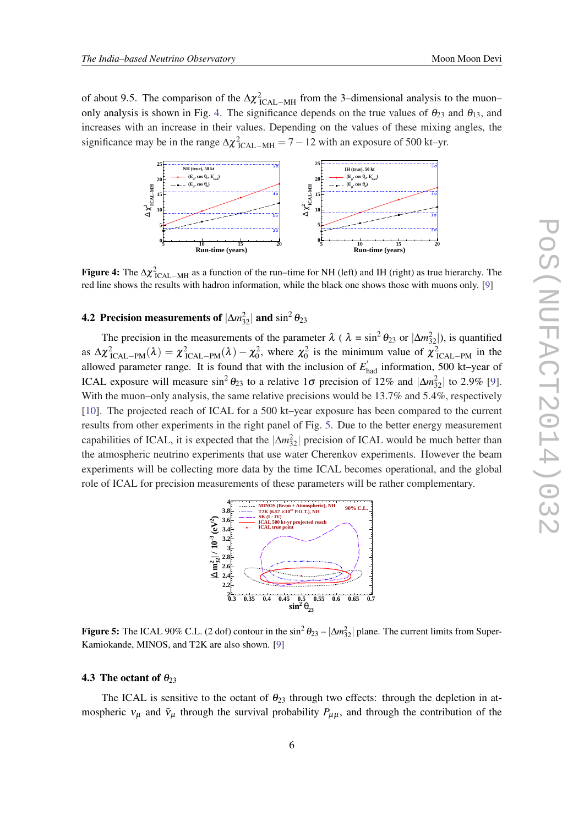of about 9.5. The comparison of the  $\Delta \chi^2_{\rm ~ICAL-MH}$  from the 3–dimensional analysis to the muon– only analysis is shown in Fig. 4. The significance depends on the true values of  $\theta_{23}$  and  $\theta_{13}$ , and increases with an increase in their values. Depending on the values of these mixing angles, the significance may be in the range  $\Delta \chi^2_{\text{ICAL-MH}} = 7 - 12$  with an exposure of 500 kt–yr.



**Figure 4:** The  $\Delta \chi^2_{\text{ICAL-MH}}$  as a function of the run–time for NH (left) and IH (right) as true hierarchy. The red line shows the results with hadron information, while the black one shows those with muons only. [[9\]](#page-7-0)

### **4.2 Precision measurements of**  $|\Delta m_{32}^2|$  **and**  $\sin^2 \theta_{23}$

The precision in the measurements of the parameter  $\lambda$  (  $\lambda = \sin^2 \theta_{23}$  or  $|\Delta m_{32}^2|$ ), is quantified as  $\Delta \chi^2_{\text{ICAL-PM}}(\lambda) = \chi^2_{\text{ICAL-PM}}(\lambda) - \chi^2_0$ , where  $\chi^2_0$  is the minimum value of  $\chi^2_{\text{ICAL-PM}}$  in the allowed parameter range. It is found that with the inclusion of  $E'_{had}$  information, 500 kt–year of ICAL exposure will measure  $\sin^2 \theta_{23}$  to a relative 1 $\sigma$  precision of 12% and  $|\Delta m_{32}^2|$  to 2.9% [\[9\]](#page-7-0). With the muon–only analysis, the same relative precisions would be 13.7% and 5.4%, respectively [[10\]](#page-7-0). The projected reach of ICAL for a 500 kt–year exposure has been compared to the current results from other experiments in the right panel of Fig. 5. Due to the better energy measurement capabilities of ICAL, it is expected that the  $|\Delta m_{32}^2|$  precision of ICAL would be much better than the atmospheric neutrino experiments that use water Cherenkov experiments. However the beam experiments will be collecting more data by the time ICAL becomes operational, and the global role of ICAL for precision measurements of these parameters will be rather complementary.



Figure 5: The ICAL 90% C.L. (2 dof) contour in the  $\sin^2 \theta_{23} - |\Delta m_{32}^2|$  plane. The current limits from Super-Kamiokande, MINOS, and T2K are also shown. [[9\]](#page-7-0)

#### 4.3 The octant of  $\theta_{23}$

The ICAL is sensitive to the octant of  $\theta_{23}$  through two effects: through the depletion in atmospheric  $v_{\mu}$  and  $\bar{v}_{\mu}$  through the survival probability  $P_{\mu\mu}$ , and through the contribution of the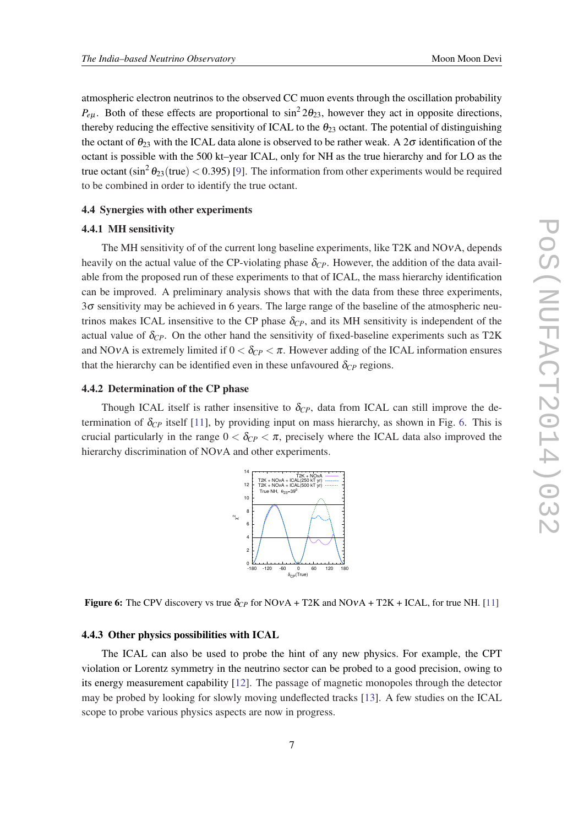atmospheric electron neutrinos to the observed CC muon events through the oscillation probability  $P_{e\mu}$ . Both of these effects are proportional to  $\sin^2 2\theta_{23}$ , however they act in opposite directions, thereby reducing the effective sensitivity of ICAL to the  $\theta_{23}$  octant. The potential of distinguishing the octant of  $\theta_{23}$  with the ICAL data alone is observed to be rather weak. A 2 $\sigma$  identification of the octant is possible with the 500 kt–year ICAL, only for NH as the true hierarchy and for LO as the true octant (sin<sup>2</sup>  $\theta_{23}$ (true) < 0.3[9](#page-7-0)5) [9]. The information from other experiments would be required to be combined in order to identify the true octant.

#### 4.4 Synergies with other experiments

#### 4.4.1 MH sensitivity

The MH sensitivity of of the current long baseline experiments, like T2K and NOνA, depends heavily on the actual value of the CP-violating phase  $\delta_{CP}$ . However, the addition of the data available from the proposed run of these experiments to that of ICAL, the mass hierarchy identification can be improved. A preliminary analysis shows that with the data from these three experiments,  $3\sigma$  sensitivity may be achieved in 6 years. The large range of the baseline of the atmospheric neutrinos makes ICAL insensitive to the CP phase  $\delta_{CP}$ , and its MH sensitivity is independent of the actual value of  $\delta_{CP}$ . On the other hand the sensitivity of fixed-baseline experiments such as T2K and NOvA is extremely limited if  $0 < \delta_{CP} < \pi$ . However adding of the ICAL information ensures that the hierarchy can be identified even in these unfavoured  $\delta_{CP}$  regions.

#### 4.4.2 Determination of the CP phase

Though ICAL itself is rather insensitive to  $\delta_{CP}$ , data from ICAL can still improve the determination of  $\delta_{CP}$  itself [[11\]](#page-7-0), by providing input on mass hierarchy, as shown in Fig. 6. This is crucial particularly in the range  $0 < \delta_{CP} < \pi$ , precisely where the ICAL data also improved the hierarchy discrimination of NOvA and other experiments.



**Figure 6:** The CPV discovery vs true  $\delta_{CP}$  for NOvA + T2K and NOvA + T2K + ICAL, for true NH. [[11\]](#page-7-0)

#### 4.4.3 Other physics possibilities with ICAL

The ICAL can also be used to probe the hint of any new physics. For example, the CPT violation or Lorentz symmetry in the neutrino sector can be probed to a good precision, owing to its energy measurement capability [[12\]](#page-7-0). The passage of magnetic monopoles through the detector may be probed by looking for slowly moving undeflected tracks [[13](#page-7-0)]. A few studies on the ICAL scope to probe various physics aspects are now in progress.